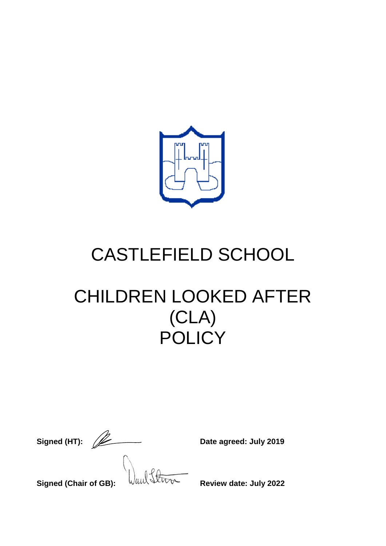

# CASTLEFIELD SCHOOL

# CHILDREN LOOKED AFTER (CLA) **POLICY**

|              | J |
|--------------|---|
| Signed (HT): |   |

**Signed** (*Date agreed: July 2019* 

**Signed (Chair of GB):**  $\sqrt{u}u\sqrt{v}$  Review date: July 2022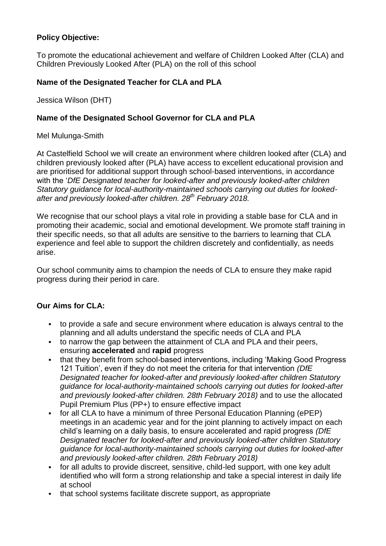#### **Policy Objective:**

To promote the educational achievement and welfare of Children Looked After (CLA) and Children Previously Looked After (PLA) on the roll of this school

#### **Name of the Designated Teacher for CLA and PLA**

Jessica Wilson (DHT)

#### **Name of the Designated School Governor for CLA and PLA**

#### Mel Mulunga-Smith

At Castelfield School we will create an environment where children looked after (CLA) and children previously looked after (PLA) have access to excellent educational provision and are prioritised for additional support through school-based interventions, in accordance with the '*DfE Designated teacher for looked-after and previously looked-after children Statutory guidance for local-authority-maintained schools carrying out duties for lookedafter and previously looked-after children. 28th February 2018.*

We recognise that our school plays a vital role in providing a stable base for CLA and in promoting their academic, social and emotional development. We promote staff training in their specific needs, so that all adults are sensitive to the barriers to learning that CLA experience and feel able to support the children discretely and confidentially, as needs arise.

Our school community aims to champion the needs of CLA to ensure they make rapid progress during their period in care.

#### **Our Aims for CLA:**

- to provide a safe and secure environment where education is always central to the planning and all adults understand the specific needs of CLA and PLA
- to narrow the gap between the attainment of CLA and PLA and their peers, ensuring **accelerated** and **rapid** progress
- that they benefit from school-based interventions, including 'Making Good Progress 121 Tuition', even if they do not meet the criteria for that intervention *(DfE Designated teacher for looked-after and previously looked-after children Statutory guidance for local-authority-maintained schools carrying out duties for looked-after and previously looked-after children. 28th February 2018)* and to use the allocated Pupil Premium Plus (PP+) to ensure effective impact
- for all CLA to have a minimum of three Personal Education Planning (ePEP) meetings in an academic year and for the joint planning to actively impact on each child's learning on a daily basis, to ensure accelerated and rapid progress *(DfE Designated teacher for looked-after and previously looked-after children Statutory guidance for local-authority-maintained schools carrying out duties for looked-after and previously looked-after children. 28th February 2018)*
- for all adults to provide discreet, sensitive, child-led support, with one key adult identified who will form a strong relationship and take a special interest in daily life at school
- that school systems facilitate discrete support, as appropriate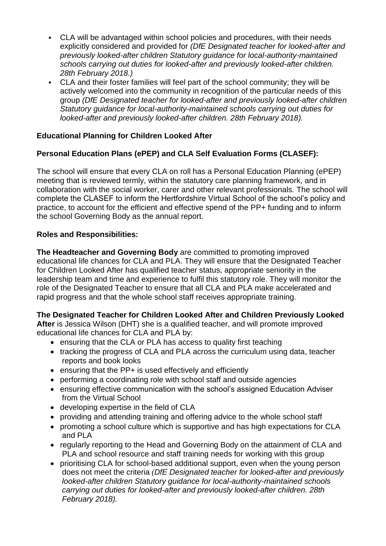- CLA will be advantaged within school policies and procedures, with their needs explicitly considered and provided for *(DfE Designated teacher for looked-after and previously looked-after children Statutory guidance for local-authority-maintained schools carrying out duties for looked-after and previously looked-after children. 28th February 2018.)*
- CLA and their foster families will feel part of the school community; they will be actively welcomed into the community in recognition of the particular needs of this group *(DfE Designated teacher for looked-after and previously looked-after children Statutory guidance for local-authority-maintained schools carrying out duties for looked-after and previously looked-after children. 28th February 2018).*

# **Educational Planning for Children Looked After**

# **Personal Education Plans (ePEP) and CLA Self Evaluation Forms (CLASEF):**

The school will ensure that every CLA on roll has a Personal Education Planning (ePEP) meeting that is reviewed termly, within the statutory care planning framework, and in collaboration with the social worker, carer and other relevant professionals. The school will complete the CLASEF to inform the Hertfordshire Virtual School of the school's policy and practice, to account for the efficient and effective spend of the PP+ funding and to inform the school Governing Body as the annual report.

#### **Roles and Responsibilities:**

**The Headteacher and Governing Body** are committed to promoting improved educational life chances for CLA and PLA. They will ensure that the Designated Teacher for Children Looked After has qualified teacher status, appropriate seniority in the leadership team and time and experience to fulfil this statutory role. They will monitor the role of the Designated Teacher to ensure that all CLA and PLA make accelerated and rapid progress and that the whole school staff receives appropriate training.

#### **The Designated Teacher for Children Looked After and Children Previously Looked**

**After** is Jessica Wilson (DHT) she is a qualified teacher, and will promote improved educational life chances for CLA and PLA by:

- ensuring that the CLA or PLA has access to quality first teaching
- tracking the progress of CLA and PLA across the curriculum using data, teacher reports and book looks
- ensuring that the PP+ is used effectively and efficiently
- performing a coordinating role with school staff and outside agencies
- ensuring effective communication with the school's assigned Education Adviser from the Virtual School
- developing expertise in the field of CLA
- providing and attending training and offering advice to the whole school staff
- promoting a school culture which is supportive and has high expectations for CLA and PLA
- regularly reporting to the Head and Governing Body on the attainment of CLA and PLA and school resource and staff training needs for working with this group
- prioritising CLA for school-based additional support, even when the young person does not meet the criteria *(DfE Designated teacher for looked-after and previously looked-after children Statutory guidance for local-authority-maintained schools carrying out duties for looked-after and previously looked-after children. 28th February 2018).*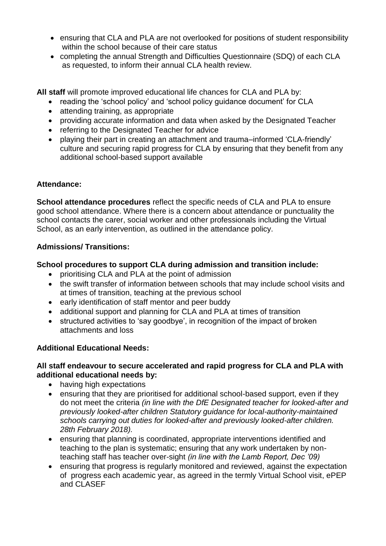- ensuring that CLA and PLA are not overlooked for positions of student responsibility within the school because of their care status
- completing the annual Strength and Difficulties Questionnaire (SDQ) of each CLA as requested, to inform their annual CLA health review.

**All staff** will promote improved educational life chances for CLA and PLA by:

- reading the 'school policy' and 'school policy guidance document' for CLA
- attending training, as appropriate
- providing accurate information and data when asked by the Designated Teacher
- referring to the Designated Teacher for advice
- plaving their part in creating an attachment and trauma–informed 'CLA-friendly' culture and securing rapid progress for CLA by ensuring that they benefit from any additional school-based support available

#### **Attendance:**

**School attendance procedures** reflect the specific needs of CLA and PLA to ensure good school attendance. Where there is a concern about attendance or punctuality the school contacts the carer, social worker and other professionals including the Virtual School, as an early intervention, as outlined in the attendance policy.

#### **Admissions/ Transitions:**

#### **School procedures to support CLA during admission and transition include:**

- prioritising CLA and PLA at the point of admission
- the swift transfer of information between schools that may include school visits and at times of transition, teaching at the previous school
- early identification of staff mentor and peer buddy
- additional support and planning for CLA and PLA at times of transition
- structured activities to 'say goodbye', in recognition of the impact of broken attachments and loss

#### **Additional Educational Needs:**

#### **All staff endeavour to secure accelerated and rapid progress for CLA and PLA with additional educational needs by:**

- having high expectations
- ensuring that they are prioritised for additional school-based support, even if they do not meet the criteria *(in line with the DfE Designated teacher for looked-after and previously looked-after children Statutory guidance for local-authority-maintained schools carrying out duties for looked-after and previously looked-after children. 28th February 2018).*
- ensuring that planning is coordinated, appropriate interventions identified and teaching to the plan is systematic; ensuring that any work undertaken by nonteaching staff has teacher over-sight *(in line with the Lamb Report, Dec '09)*
- ensuring that progress is regularly monitored and reviewed, against the expectation of progress each academic year, as agreed in the termly Virtual School visit, ePEP and CLASEF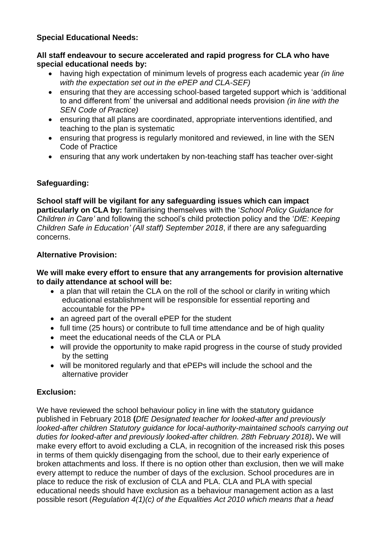#### **Special Educational Needs:**

#### **All staff endeavour to secure accelerated and rapid progress for CLA who have special educational needs by:**

- having high expectation of minimum levels of progress each academic year *(in line with the expectation set out in the ePEP and CLA-SEF)*
- ensuring that they are accessing school-based targeted support which is 'additional to and different from' the universal and additional needs provision *(in line with the SEN Code of Practice)*
- ensuring that all plans are coordinated, appropriate interventions identified, and teaching to the plan is systematic
- ensuring that progress is regularly monitored and reviewed, in line with the SEN Code of Practice
- ensuring that any work undertaken by non-teaching staff has teacher over-sight

# **Safeguarding:**

**School staff will be vigilant for any safeguarding issues which can impact particularly on CLA by:** familiarising themselves with the '*School Policy Guidance for Children in Care'* and following the school's child protection policy and the '*DfE: Keeping Children Safe in Education' (All staff) September 2018*, if there are any safeguarding concerns.

# **Alternative Provision:**

#### **We will make every effort to ensure that any arrangements for provision alternative to daily attendance at school will be:**

- a plan that will retain the CLA on the roll of the school or clarify in writing which educational establishment will be responsible for essential reporting and accountable for the PP+
- an agreed part of the overall ePEP for the student
- full time (25 hours) or contribute to full time attendance and be of high quality
- meet the educational needs of the CLA or PLA
- will provide the opportunity to make rapid progress in the course of study provided by the setting
- will be monitored regularly and that ePEPs will include the school and the alternative provider

# **Exclusion:**

We have reviewed the school behaviour policy in line with the statutory quidance published in February 2018 **(***DfE Designated teacher for looked-after and previously looked-after children Statutory guidance for local-authority-maintained schools carrying out duties for looked-after and previously looked-after children. 28th February 2018)***.** We will make every effort to avoid excluding a CLA, in recognition of the increased risk this poses in terms of them quickly disengaging from the school, due to their early experience of broken attachments and loss. If there is no option other than exclusion, then we will make every attempt to reduce the number of days of the exclusion. School procedures are in place to reduce the risk of exclusion of CLA and PLA. CLA and PLA with special educational needs should have exclusion as a behaviour management action as a last possible resort (*Regulation 4(1)(c) of the Equalities Act 2010 which means that a head*